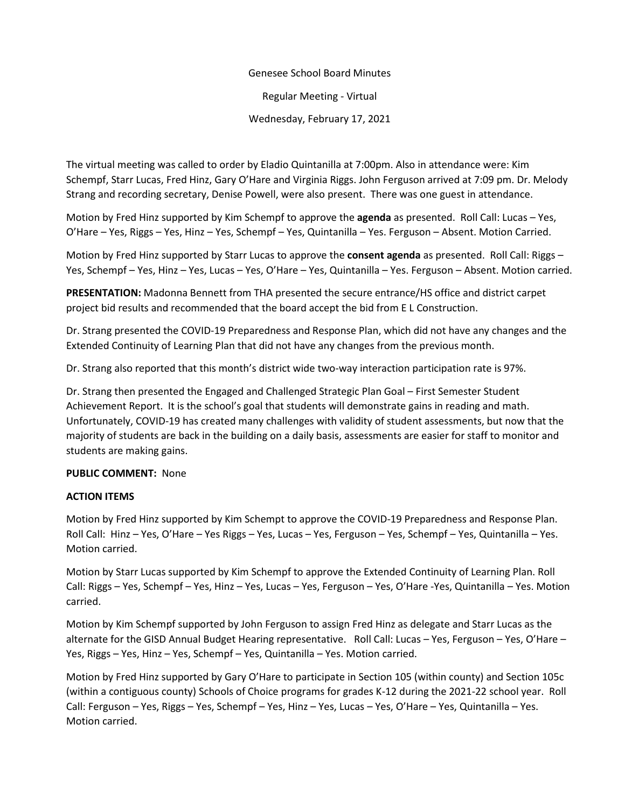# Genesee School Board Minutes

Regular Meeting - Virtual

Wednesday, February 17, 2021

The virtual meeting was called to order by Eladio Quintanilla at 7:00pm. Also in attendance were: Kim Schempf, Starr Lucas, Fred Hinz, Gary O'Hare and Virginia Riggs. John Ferguson arrived at 7:09 pm. Dr. Melody Strang and recording secretary, Denise Powell, were also present. There was one guest in attendance.

Motion by Fred Hinz supported by Kim Schempf to approve the **agenda** as presented. Roll Call: Lucas – Yes, O'Hare – Yes, Riggs – Yes, Hinz – Yes, Schempf – Yes, Quintanilla – Yes. Ferguson – Absent. Motion Carried.

Motion by Fred Hinz supported by Starr Lucas to approve the **consent agenda** as presented. Roll Call: Riggs – Yes, Schempf – Yes, Hinz – Yes, Lucas – Yes, O'Hare – Yes, Quintanilla – Yes. Ferguson – Absent. Motion carried.

**PRESENTATION:** Madonna Bennett from THA presented the secure entrance/HS office and district carpet project bid results and recommended that the board accept the bid from E L Construction.

Dr. Strang presented the COVID-19 Preparedness and Response Plan, which did not have any changes and the Extended Continuity of Learning Plan that did not have any changes from the previous month.

Dr. Strang also reported that this month's district wide two-way interaction participation rate is 97%.

Dr. Strang then presented the Engaged and Challenged Strategic Plan Goal – First Semester Student Achievement Report. It is the school's goal that students will demonstrate gains in reading and math. Unfortunately, COVID-19 has created many challenges with validity of student assessments, but now that the majority of students are back in the building on a daily basis, assessments are easier for staff to monitor and students are making gains.

### **PUBLIC COMMENT:** None

### **ACTION ITEMS**

Motion by Fred Hinz supported by Kim Schempt to approve the COVID-19 Preparedness and Response Plan. Roll Call: Hinz – Yes, O'Hare – Yes Riggs – Yes, Lucas – Yes, Ferguson – Yes, Schempf – Yes, Quintanilla – Yes. Motion carried.

Motion by Starr Lucas supported by Kim Schempf to approve the Extended Continuity of Learning Plan. Roll Call: Riggs – Yes, Schempf – Yes, Hinz – Yes, Lucas – Yes, Ferguson – Yes, O'Hare -Yes, Quintanilla – Yes. Motion carried.

Motion by Kim Schempf supported by John Ferguson to assign Fred Hinz as delegate and Starr Lucas as the alternate for the GISD Annual Budget Hearing representative. Roll Call: Lucas – Yes, Ferguson – Yes, O'Hare – Yes, Riggs – Yes, Hinz – Yes, Schempf – Yes, Quintanilla – Yes. Motion carried.

Motion by Fred Hinz supported by Gary O'Hare to participate in Section 105 (within county) and Section 105c (within a contiguous county) Schools of Choice programs for grades K-12 during the 2021-22 school year. Roll Call: Ferguson – Yes, Riggs – Yes, Schempf – Yes, Hinz – Yes, Lucas – Yes, O'Hare – Yes, Quintanilla – Yes. Motion carried.